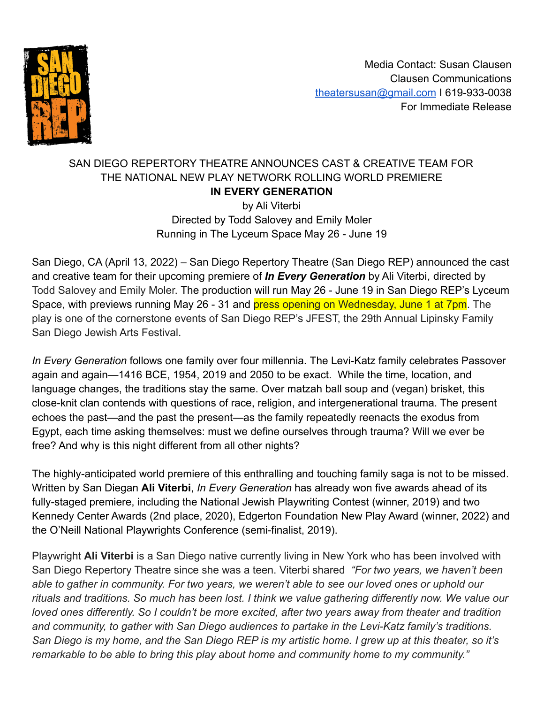

Media Contact: Susan Clausen Clausen Communications [theatersusan@gmail.com](mailto:theatersusan@gmail.com) I 619-933-0038 For Immediate Release

### SAN DIEGO REPERTORY THEATRE ANNOUNCES CAST & CREATIVE TEAM FOR THE NATIONAL NEW PLAY NETWORK ROLLING WORLD PREMIERE **IN EVERY GENERATION** by Ali Viterbi

Directed by Todd Salovey and Emily Moler Running in The Lyceum Space May 26 - June 19

San Diego, CA (April 13, 2022) – San Diego Repertory Theatre (San Diego REP) announced the cast and creative team for their upcoming premiere of *In Every Generation* by Ali Viterbi*,* directed by Todd Salovey and Emily Moler. The production will run May 26 - June 19 in San Diego REP's Lyceum Space, with previews running May 26 - 31 and press opening on Wednesday, June 1 at 7pm. The play is one of the cornerstone events of San Diego REP's JFEST, the 29th Annual Lipinsky Family San Diego Jewish Arts Festival.

*In Every Generation* follows one family over four millennia. The Levi-Katz family celebrates Passover again and again—1416 BCE, 1954, 2019 and 2050 to be exact. While the time, location, and language changes, the traditions stay the same. Over matzah ball soup and (vegan) brisket, this close-knit clan contends with questions of race, religion, and intergenerational trauma. The present echoes the past—and the past the present—as the family repeatedly reenacts the exodus from Egypt, each time asking themselves: must we define ourselves through trauma? Will we ever be free? And why is this night different from all other nights?

The highly-anticipated world premiere of this enthralling and touching family saga is not to be missed. Written by San Diegan **Ali Viterbi**, *In Every Generation* has already won five awards ahead of its fully-staged premiere, including the National Jewish Playwriting Contest (winner, 2019) and two Kennedy Center Awards (2nd place, 2020), Edgerton Foundation New Play Award (winner, 2022) and the O'Neill National Playwrights Conference (semi-finalist, 2019).

Playwright **Ali Viterbi** is a San Diego native currently living in New York who has been involved with San Diego Repertory Theatre since she was a teen. Viterbi shared *"For two years, we haven't been able to gather in community. For two years, we weren't able to see our loved ones or uphold our rituals and traditions. So much has been lost. I think we value gathering differently now. We value our loved ones differently. So I couldn't be more excited, after two years away from theater and tradition and community, to gather with San Diego audiences to partake in the Levi-Katz family's traditions. San Diego is my home, and the San Diego REP is my artistic home. I grew up at this theater, so it's remarkable to be able to bring this play about home and community home to my community."*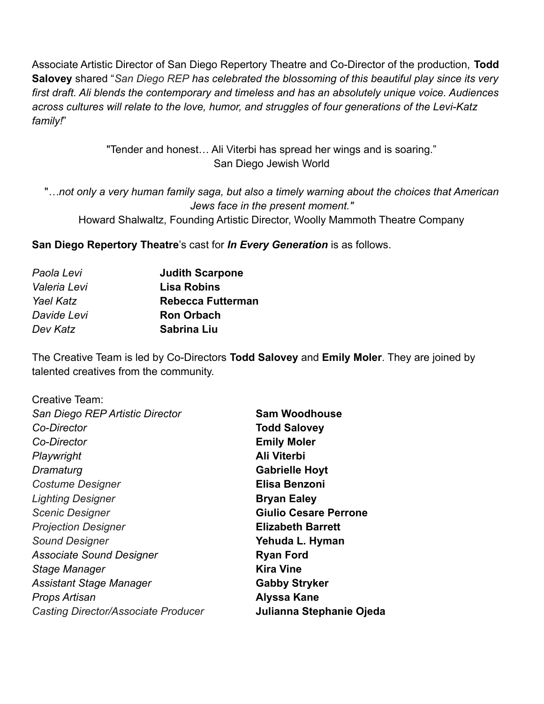Associate Artistic Director of San Diego Repertory Theatre and Co-Director of the production, **Todd Salovey** shared "*San Diego REP has celebrated the blossoming of this beautiful play since its very first draft. Ali blends the contemporary and timeless and has an absolutely unique voice. Audiences across cultures will relate to the love, humor, and struggles of four generations of the Levi-Katz family!*"

> "Tender and honest… Ali Viterbi has spread her wings and is soaring." San Diego Jewish World

"*…not only a very human family saga, but also a timely warning about the choices that American Jews face in the present moment."* Howard Shalwaltz, Founding Artistic Director, Woolly Mammoth Theatre Company

**San Diego Repertory Theatre**'s cast for *In Every Generation* is as follows.

| <b>Judith Scarpone</b>   |
|--------------------------|
| <b>Lisa Robins</b>       |
| <b>Rebecca Futterman</b> |
| <b>Ron Orbach</b>        |
| Sabrina Liu              |
|                          |

The Creative Team is led by Co-Directors **Todd Salovey** and **Emily Moler**. They are joined by talented creatives from the community.

| Creative Team:                             |                              |
|--------------------------------------------|------------------------------|
| San Diego REP Artistic Director            | <b>Sam Woodhouse</b>         |
| Co-Director                                | <b>Todd Salovey</b>          |
| Co-Director                                | <b>Emily Moler</b>           |
| Playwright                                 | Ali Viterbi                  |
| Dramaturg                                  | <b>Gabrielle Hoyt</b>        |
| <b>Costume Designer</b>                    | Elisa Benzoni                |
| <b>Lighting Designer</b>                   | <b>Bryan Ealey</b>           |
| <b>Scenic Designer</b>                     | <b>Giulio Cesare Perrone</b> |
| <b>Projection Designer</b>                 | <b>Elizabeth Barrett</b>     |
| <b>Sound Designer</b>                      | Yehuda L. Hyman              |
| <b>Associate Sound Designer</b>            | <b>Ryan Ford</b>             |
| Stage Manager                              | <b>Kira Vine</b>             |
| <b>Assistant Stage Manager</b>             | <b>Gabby Stryker</b>         |
| Props Artisan                              | <b>Alyssa Kane</b>           |
| <b>Casting Director/Associate Producer</b> | Julianna Stephanie Ojeda     |
|                                            |                              |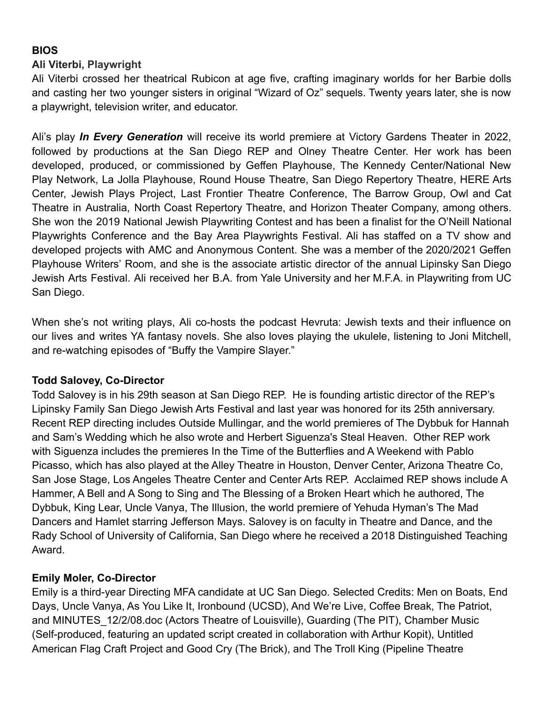## **BIOS**

#### **Ali Viterbi, Playwright**

Ali Viterbi crossed her theatrical Rubicon at age five, crafting imaginary worlds for her Barbie dolls and casting her two younger sisters in original "Wizard of Oz" sequels. Twenty years later, she is now a playwright, television writer, and educator.

Ali's play *In Every Generation* will receive its world premiere at Victory Gardens Theater in 2022, followed by productions at the San Diego REP and Olney Theatre Center. Her work has been developed, produced, or commissioned by Geffen Playhouse, The Kennedy Center/National New Play Network, La Jolla Playhouse, Round House Theatre, San Diego Repertory Theatre, HERE Arts Center, Jewish Plays Project, Last Frontier Theatre Conference, The Barrow Group, Owl and Cat Theatre in Australia, North Coast Repertory Theatre, and Horizon Theater Company, among others. She won the 2019 National Jewish Playwriting Contest and has been a finalist for the O'Neill National Playwrights Conference and the Bay Area Playwrights Festival. Ali has staffed on a TV show and developed projects with AMC and Anonymous Content. She was a member of the 2020/2021 Geffen Playhouse Writers' Room, and she is the associate artistic director of the annual Lipinsky San Diego Jewish Arts Festival. Ali received her B.A. from Yale University and her M.F.A. in Playwriting from UC San Diego.

When she's not writing plays, Ali co-hosts the podcast [Hevruta:](https://anchor.fm/philip-graubart) Jewish texts and their influence on our lives and writes YA fantasy novels. She also loves playing the ukulele, listening to Joni Mitchell, and re-watching episodes of "Buffy the Vampire Slayer."

#### **Todd Salovey, Co-Director**

Todd Salovey is in his 29th season at San Diego REP. He is founding artistic director of the REP's Lipinsky Family San Diego Jewish Arts Festival and last year was honored for its 25th anniversary. Recent REP directing includes Outside Mullingar, and the world premieres of The Dybbuk for Hannah and Sam's Wedding which he also wrote and Herbert Siguenza's Steal Heaven. Other REP work with Siguenza includes the premieres In the Time of the Butterflies and A Weekend with Pablo Picasso, which has also played at the Alley Theatre in Houston, Denver Center, Arizona Theatre Co, San Jose Stage, Los Angeles Theatre Center and Center Arts REP. Acclaimed REP shows include A Hammer, A Bell and A Song to Sing and The Blessing of a Broken Heart which he authored, The Dybbuk, King Lear, Uncle Vanya, The Illusion, the world premiere of Yehuda Hyman's The Mad Dancers and Hamlet starring Jefferson Mays. Salovey is on faculty in Theatre and Dance, and the Rady School of University of California, San Diego where he received a 2018 Distinguished Teaching Award.

#### **Emily Moler, Co-Director**

Emily is a third-year Directing MFA candidate at UC San Diego. Selected Credits: Men on Boats, End Days, Uncle Vanya, As You Like It, Ironbound (UCSD), And We're Live, Coffee Break, The Patriot, and MINUTES\_12/2/08.doc (Actors Theatre of Louisville), Guarding (The PIT), Chamber Music (Self-produced, featuring an updated script created in collaboration with Arthur Kopit), Untitled American Flag Craft Project and Good Cry (The Brick), and The Troll King (Pipeline Theatre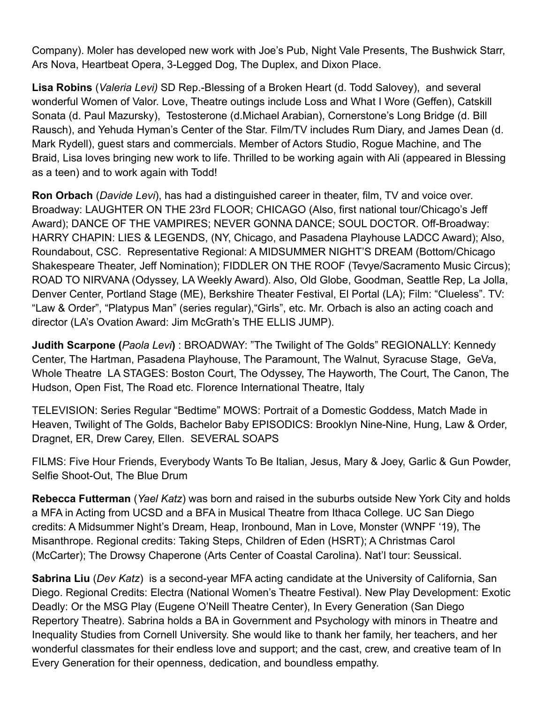Company). Moler has developed new work with Joe's Pub, Night Vale Presents, The Bushwick Starr, Ars Nova, Heartbeat Opera, 3-Legged Dog, The Duplex, and Dixon Place.

**Lisa Robins** (*Valeria Levi)* SD Rep.-Blessing of a Broken Heart (d. Todd Salovey), and several wonderful Women of Valor. Love, Theatre outings include Loss and What I Wore (Geffen), Catskill Sonata (d. Paul Mazursky), Testosterone (d.Michael Arabian), Cornerstone's Long Bridge (d. Bill Rausch), and Yehuda Hyman's Center of the Star. Film/TV includes Rum Diary, and James Dean (d. Mark Rydell), guest stars and commercials. Member of Actors Studio, Rogue Machine, and The Braid, Lisa loves bringing new work to life. Thrilled to be working again with Ali (appeared in Blessing as a teen) and to work again with Todd!

**Ron Orbach** (*Davide Levi*), has had a distinguished career in theater, film, TV and voice over. Broadway: LAUGHTER ON THE 23rd FLOOR; CHICAGO (Also, first national tour/Chicago's Jeff Award); DANCE OF THE VAMPIRES; NEVER GONNA DANCE; SOUL DOCTOR. Off-Broadway: HARRY CHAPIN: LIES & LEGENDS, (NY, Chicago, and Pasadena Playhouse LADCC Award); Also, Roundabout, CSC. Representative Regional: A MIDSUMMER NIGHT'S DREAM (Bottom/Chicago Shakespeare Theater, Jeff Nomination); FIDDLER ON THE ROOF (Tevye/Sacramento Music Circus); ROAD TO NIRVANA (Odyssey, LA Weekly Award). Also, Old Globe, Goodman, Seattle Rep, La Jolla, Denver Center, Portland Stage (ME), Berkshire Theater Festival, El Portal (LA); Film: "Clueless". TV: "Law & Order", "Platypus Man" (series regular),"Girls", etc. Mr. Orbach is also an acting coach and director (LA's Ovation Award: Jim McGrath's THE ELLIS JUMP).

**Judith Scarpone (***Paola Levi***)** : BROADWAY: "The Twilight of The Golds" REGIONALLY: Kennedy Center, The Hartman, Pasadena Playhouse, The Paramount, The Walnut, Syracuse Stage, GeVa, Whole Theatre LA STAGES: Boston Court, The Odyssey, The Hayworth, The Court, The Canon, The Hudson, Open Fist, The Road etc. Florence International Theatre, Italy

TELEVISION: Series Regular "Bedtime" MOWS: Portrait of a Domestic Goddess, Match Made in Heaven, Twilight of The Golds, Bachelor Baby EPISODICS: Brooklyn Nine-Nine, Hung, Law & Order, Dragnet, ER, Drew Carey, Ellen. SEVERAL SOAPS

FILMS: Five Hour Friends, Everybody Wants To Be Italian, Jesus, Mary & Joey, Garlic & Gun Powder, Selfie Shoot-Out, The Blue Drum

**Rebecca Futterman** (*Yael Katz*) was born and raised in the suburbs outside New York City and holds a MFA in Acting from UCSD and a BFA in Musical Theatre from Ithaca College. UC San Diego credits: A Midsummer Night's Dream, Heap, Ironbound, Man in Love, Monster (WNPF '19), The Misanthrope. Regional credits: Taking Steps, Children of Eden (HSRT); A Christmas Carol (McCarter); The Drowsy Chaperone (Arts Center of Coastal Carolina). Nat'l tour: Seussical.

**Sabrina Liu** (*Dev Katz*) is a second-year MFA acting candidate at the University of California, San Diego. Regional Credits: Electra (National Women's Theatre Festival). New Play Development: Exotic Deadly: Or the MSG Play (Eugene O'Neill Theatre Center), In Every Generation (San Diego Repertory Theatre). Sabrina holds a BA in Government and Psychology with minors in Theatre and Inequality Studies from Cornell University. She would like to thank her family, her teachers, and her wonderful classmates for their endless love and support; and the cast, crew, and creative team of In Every Generation for their openness, dedication, and boundless empathy.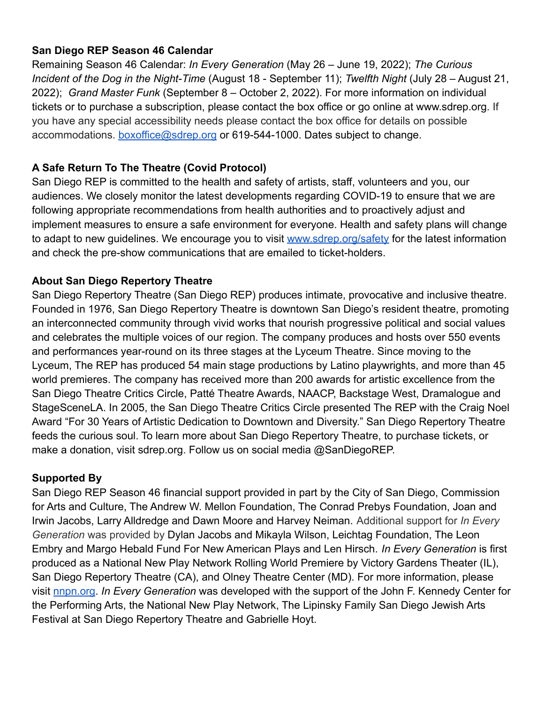### **San Diego REP Season 46 Calendar**

Remaining Season 46 Calendar: *In Every Generation* (May 26 – June 19, 2022); *The Curious Incident of the Dog in the Night-Time* (August 18 - September 11); *Twelfth Night* (July 28 – August 21, 2022); *Grand Master Funk* (September 8 – October 2, 2022). For more information on individual tickets or to purchase a subscription, please contact the box office or go online at www.sdrep.org. If you have any special accessibility needs please contact the box office for details on possible accommodations. **[boxoffice@sdrep.org](mailto:boxoffice@sdrep.org)** or 619-544-1000. Dates subject to change.

# **A Safe Return To The Theatre (Covid Protocol)**

San Diego REP is committed to the health and safety of artists, staff, volunteers and you, our audiences. We closely monitor the latest developments regarding COVID-19 to ensure that we are following appropriate recommendations from health authorities and to proactively adjust and implement measures to ensure a safe environment for everyone. Health and safety plans will change to adapt to new guidelines. We encourage you to visit [www.sdrep.org/safety](https://www.sdrep.org/safety) for the latest information and check the pre-show communications that are emailed to ticket-holders.

## **About San Diego Repertory Theatre**

San Diego Repertory Theatre (San Diego REP) produces intimate, provocative and inclusive theatre. Founded in 1976, San Diego Repertory Theatre is downtown San Diego's resident theatre, promoting an interconnected community through vivid works that nourish progressive political and social values and celebrates the multiple voices of our region. The company produces and hosts over 550 events and performances year-round on its three stages at the Lyceum Theatre. Since moving to the Lyceum, The REP has produced 54 main stage productions by Latino playwrights, and more than 45 world premieres. The company has received more than 200 awards for artistic excellence from the San Diego Theatre Critics Circle, Patté Theatre Awards, NAACP, Backstage West, Dramalogue and StageSceneLA. In 2005, the San Diego Theatre Critics Circle presented The REP with the Craig Noel Award "For 30 Years of Artistic Dedication to Downtown and Diversity." San Diego Repertory Theatre feeds the curious soul. To learn more about San Diego Repertory Theatre, to purchase tickets, or make a donation, visit sdrep.org. Follow us on social media @SanDiegoREP.

#### **Supported By**

San Diego REP Season 46 financial support provided in part by the City of San Diego, Commission for Arts and Culture, The Andrew W. Mellon Foundation, The Conrad Prebys Foundation, Joan and Irwin Jacobs, Larry Alldredge and Dawn Moore and Harvey Neiman. Additional support for *In Every Generation* was provided by Dylan Jacobs and Mikayla Wilson, Leichtag Foundation, The Leon Embry and Margo Hebald Fund For New American Plays and Len Hirsch. *In Every Generation* is first produced as a National New Play Network Rolling World Premiere by Victory Gardens Theater (IL), San Diego Repertory Theatre (CA), and Olney Theatre Center (MD). For more information, please visit [nnpn.org](http://nnpn.org/). *In Every Generation* was developed with the support of the John F. Kennedy Center for the Performing Arts, the National New Play Network, The Lipinsky Family San Diego Jewish Arts Festival at San Diego Repertory Theatre and Gabrielle Hoyt.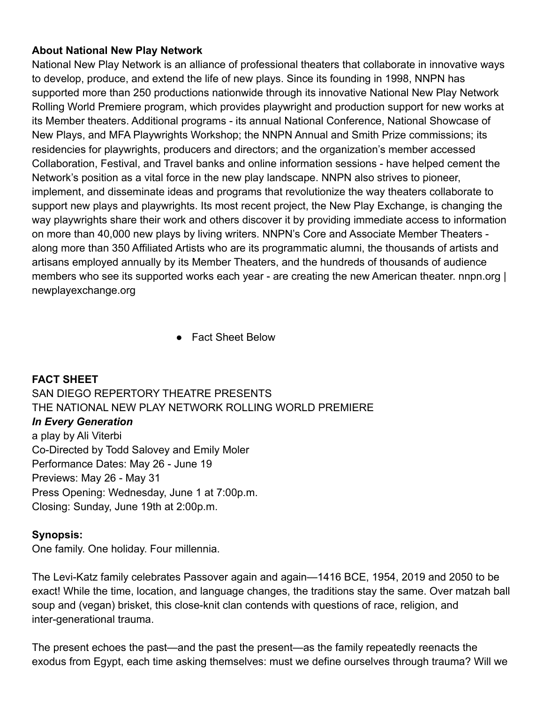### **About National New Play Network**

National New Play Network is an alliance of professional theaters that collaborate in innovative ways to develop, produce, and extend the life of new plays. Since its founding in 1998, NNPN has supported more than 250 productions nationwide through its innovative National New Play Network Rolling World Premiere program, which provides playwright and production support for new works at its Member theaters. Additional programs - its annual National Conference, National Showcase of New Plays, and MFA Playwrights Workshop; the NNPN Annual and Smith Prize commissions; its residencies for playwrights, producers and directors; and the organization's member accessed Collaboration, Festival, and Travel banks and online information sessions - have helped cement the Network's position as a vital force in the new play landscape. NNPN also strives to pioneer, implement, and disseminate ideas and programs that revolutionize the way theaters collaborate to support new plays and playwrights. Its most recent project, the New Play Exchange, is changing the way playwrights share their work and others discover it by providing immediate access to information on more than 40,000 new plays by living writers. NNPN's Core and Associate Member Theaters along more than 350 Affiliated Artists who are its programmatic alumni, the thousands of artists and artisans employed annually by its Member Theaters, and the hundreds of thousands of audience members who see its supported works each year - are creating the new American theater. nnpn.org | newplayexchange.org

● Fact Sheet Below

**FACT SHEET** SAN DIEGO REPERTORY THEATRE PRESENTS THE NATIONAL NEW PLAY NETWORK ROLLING WORLD PREMIERE *In Every Generation* a play by Ali Viterbi Co-Directed by Todd Salovey and Emily Moler Performance Dates: May 26 - June 19 Previews: May 26 - May 31 Press Opening: Wednesday, June 1 at 7:00p.m. Closing: Sunday, June 19th at 2:00p.m.

#### **Synopsis:**

One family. One holiday. Four millennia.

The Levi-Katz family celebrates Passover again and again—1416 BCE, 1954, 2019 and 2050 to be exact! While the time, location, and language changes, the traditions stay the same. Over matzah ball soup and (vegan) brisket, this close-knit clan contends with questions of race, religion, and inter-generational trauma.

The present echoes the past—and the past the present—as the family repeatedly reenacts the exodus from Egypt, each time asking themselves: must we define ourselves through trauma? Will we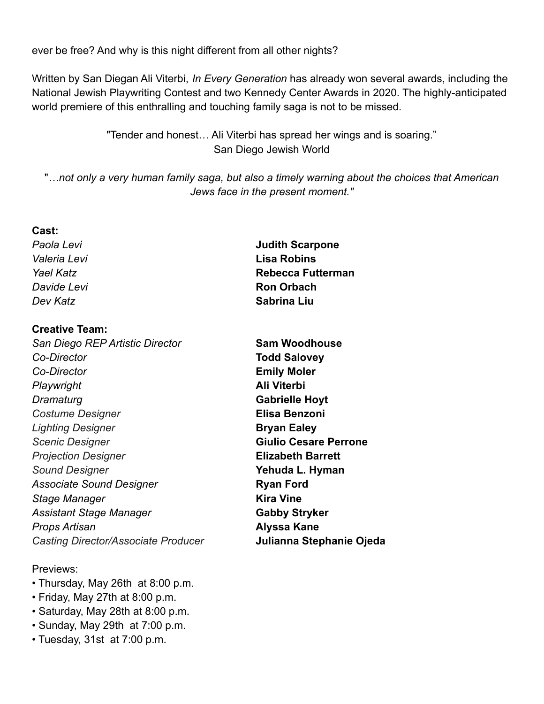ever be free? And why is this night different from all other nights?

Written by San Diegan Ali Viterbi, *In Every Generation* has already won several awards, including the National Jewish Playwriting Contest and two Kennedy Center Awards in 2020. The highly-anticipated world premiere of this enthralling and touching family saga is not to be missed.

> "Tender and honest… Ali Viterbi has spread her wings and is soaring." San Diego Jewish World

"*…not only a very human family saga, but also a timely warning about the choices that American Jews face in the present moment."*

#### **Cast:**

#### **Creative Team:**

*San Diego REP Artistic Director* **Sam Woodhouse** *Co-Director* **Todd Salovey** *Co-Director* **Emily Moler** *Playwright* **Ali Viterbi** *Dramaturg* **Gabrielle Hoyt** *Costume Designer* **Elisa Benzoni** *Lighting Designer* **Bryan Ealey** *Scenic Designer* **Giulio Cesare Perrone** *Projection Designer* **Elizabeth Barrett** *Sound Designer* **Yehuda L. Hyman** Associate Sound Designer **Ryan Ford** *Stage Manager* **Kira Vine** *Assistant Stage Manager* **Gabby Stryker** *Props Artisan* **Alyssa Kane** *Casting Director/Associate Producer* **Julianna Stephanie Ojeda**

#### Previews:

- Thursday, May 26th at 8:00 p.m.
- Friday, May 27th at 8:00 p.m.
- Saturday, May 28th at 8:00 p.m.
- Sunday, May 29th at 7:00 p.m.
- Tuesday, 31st at 7:00 p.m.

*Paola Levi* **Judith Scarpone** *Valeria Levi* **Lisa Robins** *Yael Katz* **Rebecca Futterman** *Davide Levi* **<b>Ron Orbach** *Dev Katz* **Sabrina Liu**